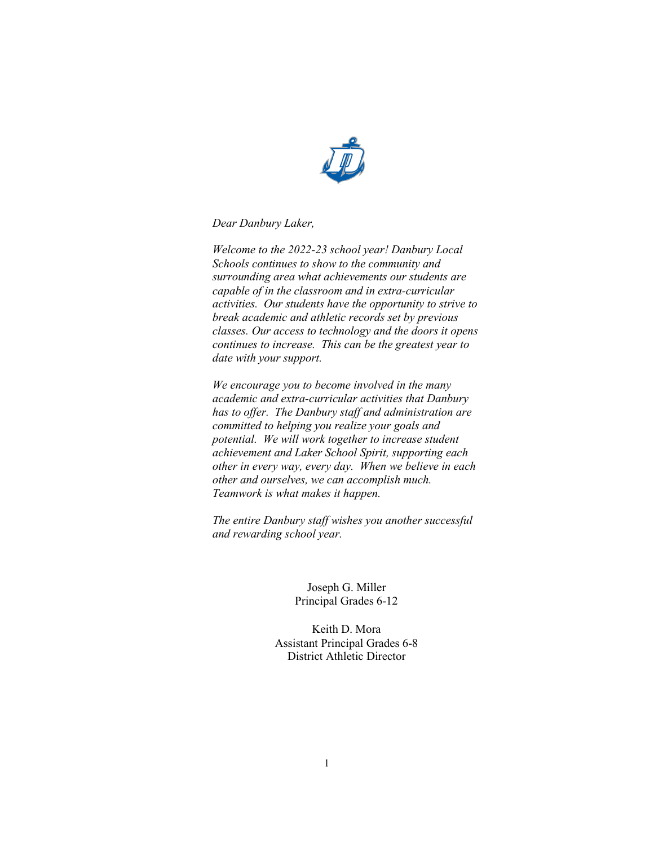

*Dear Danbury Laker,*

*Welcome to the 2022-23 school year! Danbury Local Schools continues to show to the community and surrounding area what achievements our students are capable of in the classroom and in extra-curricular activities. Our students have the opportunity to strive to break academic and athletic records set by previous classes. Our access to technology and the doors it opens continues to increase. This can be the greatest year to date with your support.*

*We encourage you to become involved in the many academic and extra-curricular activities that Danbury has to offer. The Danbury staff and administration are committed to helping you realize your goals and potential. We will work together to increase student achievement and Laker School Spirit, supporting each other in every way, every day. When we believe in each other and ourselves, we can accomplish much. Teamwork is what makes it happen.*

*The entire Danbury staff wishes you another successful and rewarding school year.*

> Joseph G. Miller Principal Grades 6-12

Keith D. Mora Assistant Principal Grades 6-8 District Athletic Director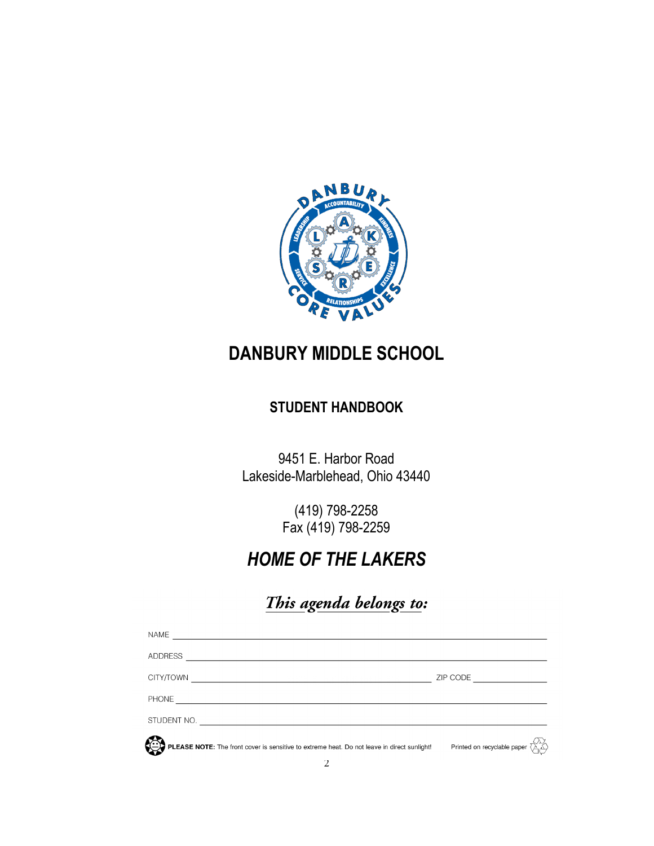

# **DANBURY MIDDLE SCHOOL**

## **STUDENT HANDBOOK**

9451 E. Harbor Road Lakeside-Marblehead, Ohio 43440

> (419) 798-2258 Fax (419) 798-2259

# *HOME OF THE LAKERS*

# This agenda belongs to:

<span id="page-1-0"></span>

| <b>NAME</b>                                                                                 |                                                   |
|---------------------------------------------------------------------------------------------|---------------------------------------------------|
| <b>ADDRESS</b>                                                                              |                                                   |
| CITY/TOWN                                                                                   | ZIP CODE <u>______</u>                            |
| PHONE                                                                                       |                                                   |
| STUDENT NO.                                                                                 |                                                   |
| PLEASE NOTE: The front cover is sensitive to extreme heat. Do not leave in direct sunlight! | Printed on recyclable paper $\overline{\text{C}}$ |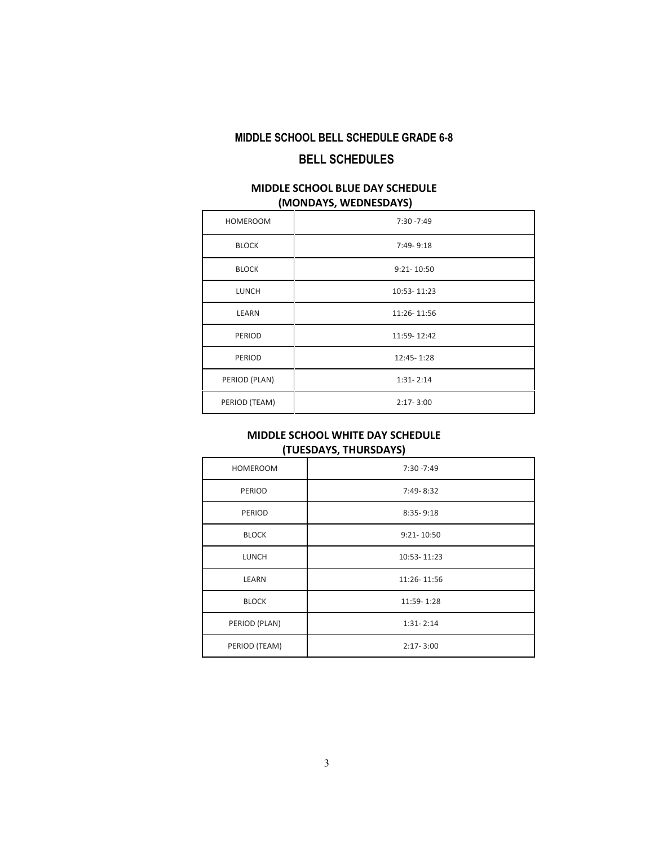## <span id="page-2-0"></span>**MIDDLE SCHOOL BELL SCHEDULE GRADE 6-8 BELL SCHEDULES**

## **MIDDLE SCHOOL BLUE DAY SCHEDULE (MONDAYS, WEDNESDAYS)**

| <b>HOMEROOM</b> | $7:30 - 7:49$  |
|-----------------|----------------|
| <b>BLOCK</b>    | $7:49 - 9:18$  |
| <b>BLOCK</b>    | $9:21 - 10:50$ |
| <b>LUNCH</b>    | 10:53-11:23    |
| LEARN           | 11:26-11:56    |
| PERIOD          | 11:59-12:42    |
| PERIOD          | 12:45-1:28     |
| PERIOD (PLAN)   | $1:31 - 2:14$  |
| PERIOD (TEAM)   | $2:17 - 3:00$  |

## **MIDDLE SCHOOL WHITE DAY SCHEDULE (TUESDAYS, THURSDAYS)**

| <b>HOMEROOM</b> | $7:30 - 7:49$  |
|-----------------|----------------|
| PERIOD          | 7:49-8:32      |
| PERIOD          | $8:35 - 9:18$  |
| <b>BLOCK</b>    | $9:21 - 10:50$ |
| <b>LUNCH</b>    | 10:53-11:23    |
| LEARN           | 11:26-11:56    |
| <b>BLOCK</b>    | 11:59-1:28     |
| PERIOD (PLAN)   | $1:31 - 2:14$  |
| PERIOD (TEAM)   | $2:17 - 3:00$  |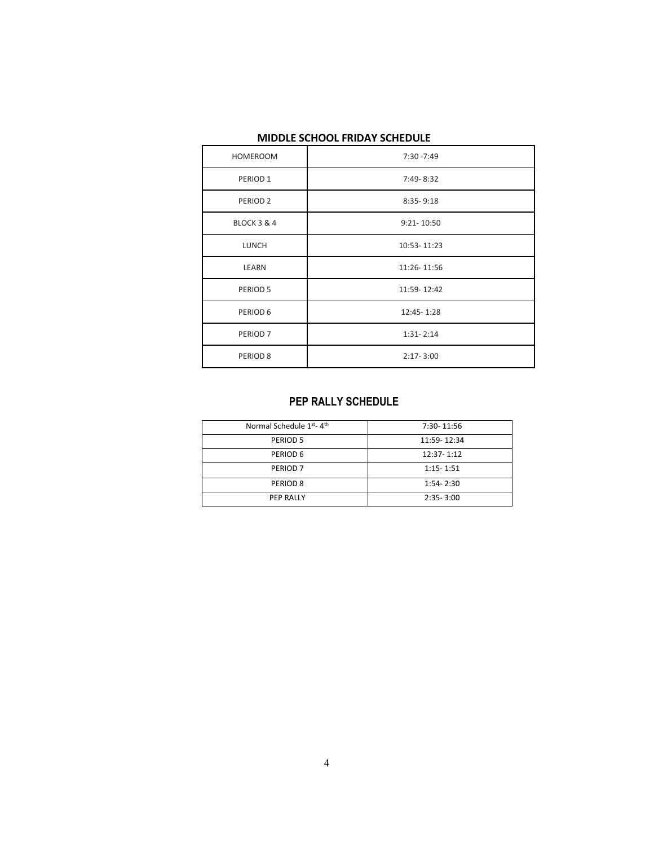| <b>HOMEROOM</b>     | $7:30 - 7:49$  |
|---------------------|----------------|
| PERIOD <sub>1</sub> | 7:49-8:32      |
| PERIOD <sub>2</sub> | $8:35 - 9:18$  |
| BLOCK 3 & 4         | $9:21 - 10:50$ |
| LUNCH               | 10:53-11:23    |
| LEARN               | 11:26-11:56    |
| PERIOD 5            | 11:59-12:42    |
| PERIOD 6            | 12:45-1:28     |
| PERIOD <sub>7</sub> | $1:31 - 2:14$  |
| PERIOD <sub>8</sub> | $2:17 - 3:00$  |

## **MIDDLE SCHOOL FRIDAY SCHEDULE**

## **PEP RALLY SCHEDULE**

<span id="page-3-0"></span>

| Normal Schedule 1 <sup>st</sup> -4 <sup>th</sup> | 7:30-11:56    |
|--------------------------------------------------|---------------|
| PERIOD 5                                         | 11:59-12:34   |
| PERIOD 6                                         | 12:37-1:12    |
| PERIOD <sub>7</sub>                              | $1:15 - 1:51$ |
| PERIOD <sub>8</sub>                              | $1:54 - 2:30$ |
| PEP RALLY                                        | $2:35 - 3:00$ |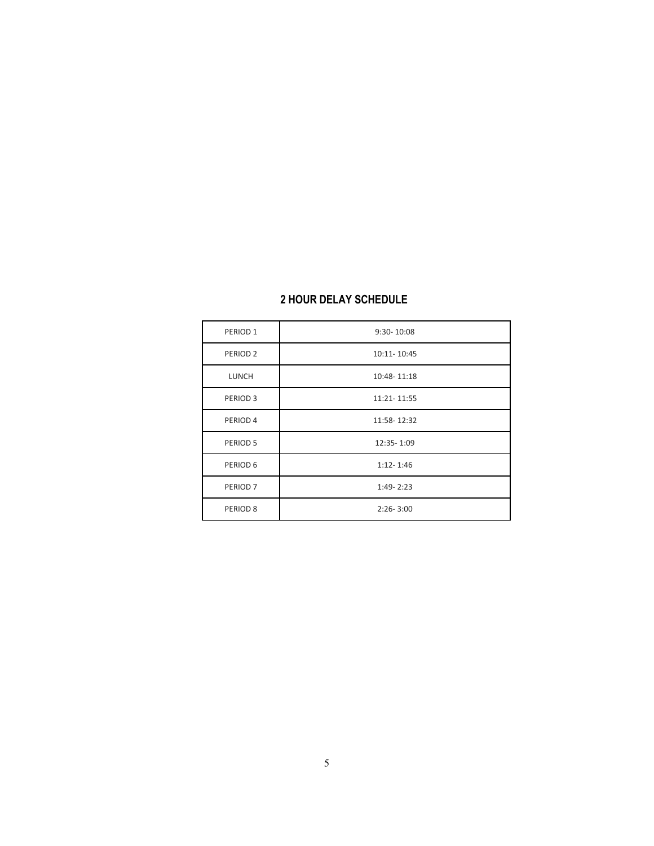<span id="page-4-0"></span>

| PERIOD <sub>1</sub> | $9:30 - 10:08$ |
|---------------------|----------------|
| PERIOD <sub>2</sub> | 10:11-10:45    |
| <b>LUNCH</b>        | 10:48-11:18    |
| PERIOD <sub>3</sub> | 11:21-11:55    |
| PERIOD <sub>4</sub> | 11:58-12:32    |
| PERIOD 5            | 12:35-1:09     |
| PERIOD 6            | $1:12 - 1:46$  |
| PERIOD <sub>7</sub> | $1:49 - 2:23$  |
| PERIOD <sub>8</sub> | $2:26 - 3:00$  |

## **2 HOUR DELAY SCHEDULE**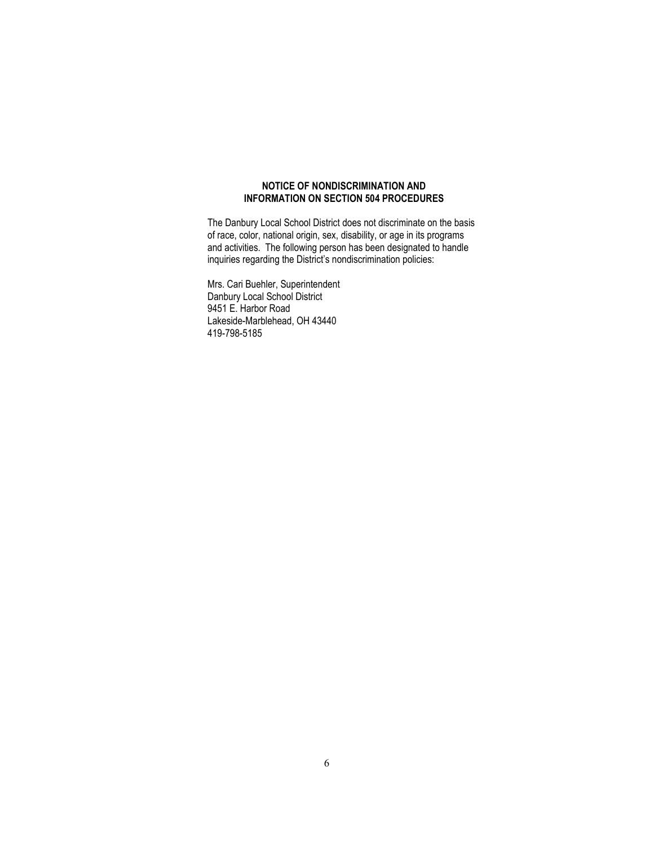#### **NOTICE OF NONDISCRIMINATION AND INFORMATION ON SECTION 504 PROCEDURES**

The Danbury Local School District does not discriminate on the basis of race, color, national origin, sex, disability, or age in its programs and activities. The following person has been designated to handle inquiries regarding the District's nondiscrimination policies:

Mrs. Cari Buehler, Superintendent Danbury Local School District 9451 E. Harbor Road Lakeside-Marblehead, OH 43440 419-798-5185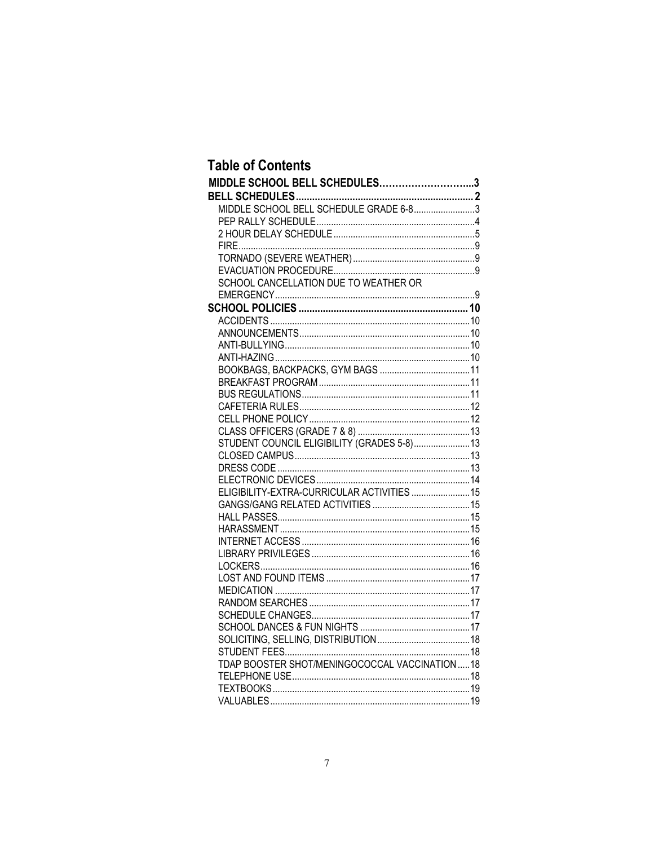## **Table of Contents**

| MIDDLE SCHOOL BELL SCHEDULES3                 |  |
|-----------------------------------------------|--|
|                                               |  |
| MIDDLE SCHOOL BELL SCHEDULE GRADE 6-83        |  |
|                                               |  |
|                                               |  |
|                                               |  |
|                                               |  |
|                                               |  |
| SCHOOL CANCELLATION DUE TO WEATHER OR         |  |
|                                               |  |
|                                               |  |
|                                               |  |
|                                               |  |
|                                               |  |
|                                               |  |
|                                               |  |
|                                               |  |
|                                               |  |
|                                               |  |
|                                               |  |
|                                               |  |
| STUDENT COUNCIL ELIGIBILITY (GRADES 5-8) 13   |  |
|                                               |  |
|                                               |  |
|                                               |  |
| ELIGIBILITY-EXTRA-CURRICULAR ACTIVITIES  15   |  |
|                                               |  |
|                                               |  |
|                                               |  |
|                                               |  |
|                                               |  |
|                                               |  |
|                                               |  |
|                                               |  |
|                                               |  |
|                                               |  |
|                                               |  |
|                                               |  |
| TDAP BOOSTER SHOT/MENINGOCOCCAL VACCINATION18 |  |
|                                               |  |
|                                               |  |
|                                               |  |
|                                               |  |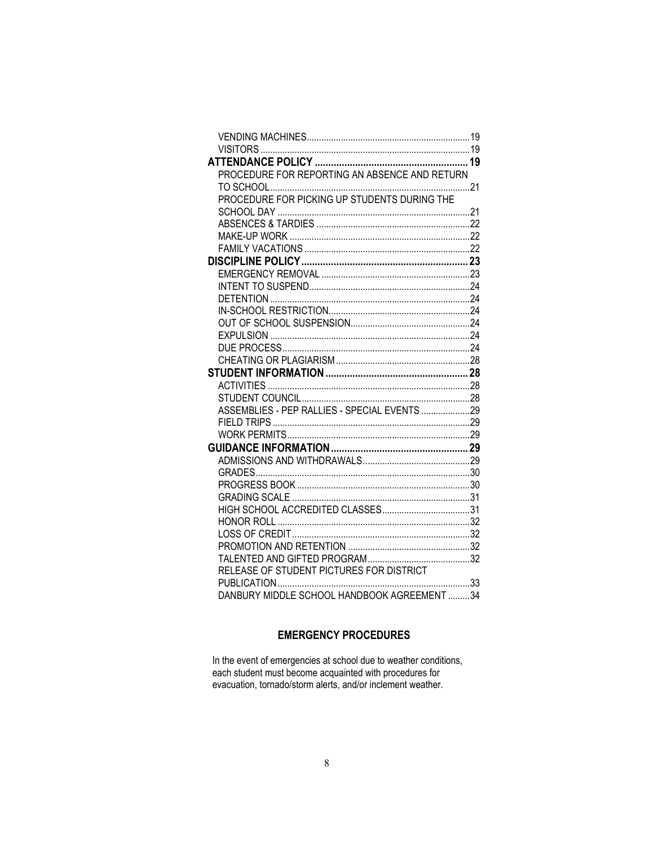| PROCEDURE FOR REPORTING AN ABSENCE AND RETURN |  |
|-----------------------------------------------|--|
|                                               |  |
|                                               |  |
|                                               |  |
|                                               |  |
|                                               |  |
|                                               |  |
|                                               |  |
|                                               |  |
|                                               |  |
|                                               |  |
|                                               |  |
|                                               |  |
|                                               |  |
|                                               |  |
|                                               |  |
|                                               |  |
|                                               |  |
|                                               |  |
| ASSEMBLIES - PEP RALLIES - SPECIAL EVENTS 29  |  |
|                                               |  |
|                                               |  |
|                                               |  |
|                                               |  |
|                                               |  |
|                                               |  |
|                                               |  |
|                                               |  |
|                                               |  |
|                                               |  |
|                                               |  |
|                                               |  |
| RELEASE OF STUDENT PICTURES FOR DISTRICT      |  |
|                                               |  |
| DANBURY MIDDLE SCHOOL HANDBOOK AGREEMENT 34   |  |

## **EMERGENCY PROCEDURES**

In the event of emergencies at school due to weather conditions, each student must become acquainted with procedures for evacuation, tornado/storm alerts, and/or inclement weather.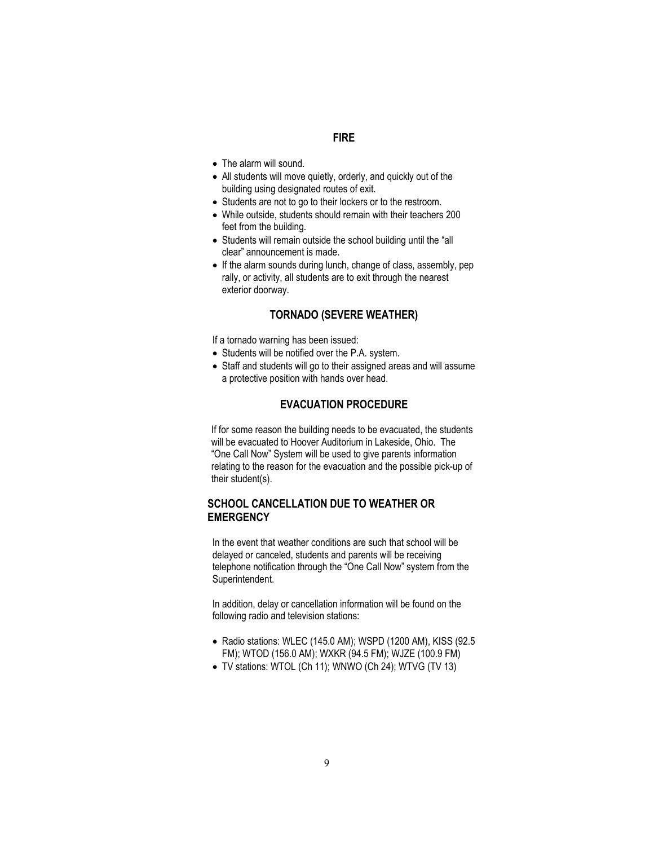## **FIRE**

- <span id="page-8-0"></span>• The alarm will sound.
- All students will move quietly, orderly, and quickly out of the building using designated routes of exit.
- Students are not to go to their lockers or to the restroom.
- While outside, students should remain with their teachers 200 feet from the building.
- Students will remain outside the school building until the "all clear" announcement is made.
- If the alarm sounds during lunch, change of class, assembly, pep rally, or activity, all students are to exit through the nearest exterior doorway.

## **TORNADO (SEVERE WEATHER)**

<span id="page-8-1"></span>If a tornado warning has been issued:

- Students will be notified over the P.A. system.
- Staff and students will go to their assigned areas and will assume a protective position with hands over head.

## **EVACUATION PROCEDURE**

<span id="page-8-2"></span>If for some reason the building needs to be evacuated, the students will be evacuated to Hoover Auditorium in Lakeside, Ohio. The "One Call Now" System will be used to give parents information relating to the reason for the evacuation and the possible pick-up of their student(s).

## <span id="page-8-3"></span>**SCHOOL CANCELLATION DUE TO WEATHER OR EMERGENCY**

In the event that weather conditions are such that school will be delayed or canceled, students and parents will be receiving telephone notification through the "One Call Now" system from the Superintendent.

In addition, delay or cancellation information will be found on the following radio and television stations:

- Radio stations: WLEC (145.0 AM); WSPD (1200 AM), KISS (92.5 FM); WTOD (156.0 AM); WXKR (94.5 FM); WJZE (100.9 FM)
- TV stations: WTOL (Ch 11); WNWO (Ch 24); WTVG (TV 13)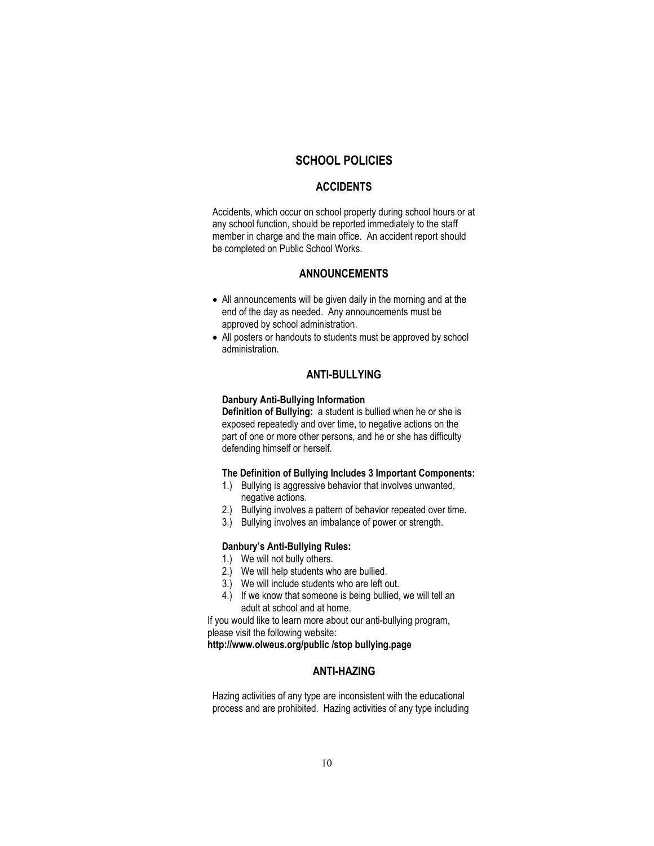## **SCHOOL POLICIES**

#### **ACCIDENTS**

<span id="page-9-1"></span><span id="page-9-0"></span>Accidents, which occur on school property during school hours or at any school function, should be reported immediately to the staff member in charge and the main office. An accident report should be completed on Public School Works.

## **ANNOUNCEMENTS**

- <span id="page-9-2"></span>• All announcements will be given daily in the morning and at the end of the day as needed. Any announcements must be approved by school administration.
- All posters or handouts to students must be approved by school administration.

#### **ANTI-BULLYING**

#### <span id="page-9-3"></span>**Danbury Anti-Bullying Information**

**Definition of Bullying:** a student is bullied when he or she is exposed repeatedly and over time, to negative actions on the part of one or more other persons, and he or she has difficulty defending himself or herself.

#### **The Definition of Bullying Includes 3 Important Components:**

- 1.) Bullying is aggressive behavior that involves unwanted, negative actions.
- 2.) Bullying involves a pattern of behavior repeated over time.
- 3.) Bullying involves an imbalance of power or strength.

#### **Danbury's Anti-Bullying Rules:**

- 1.) We will not bully others.
- 2.) We will help students who are bullied.
- 3.) We will include students who are left out.
- 4.) If we know that someone is being bullied, we will tell an adult at school and at home.

If you would like to learn more about our anti-bullying program, please visit the following website:

<span id="page-9-4"></span>**http://www.olweus.org/public /stop bullying.page**

## **ANTI-HAZING**

Hazing activities of any type are inconsistent with the educational process and are prohibited. Hazing activities of any type including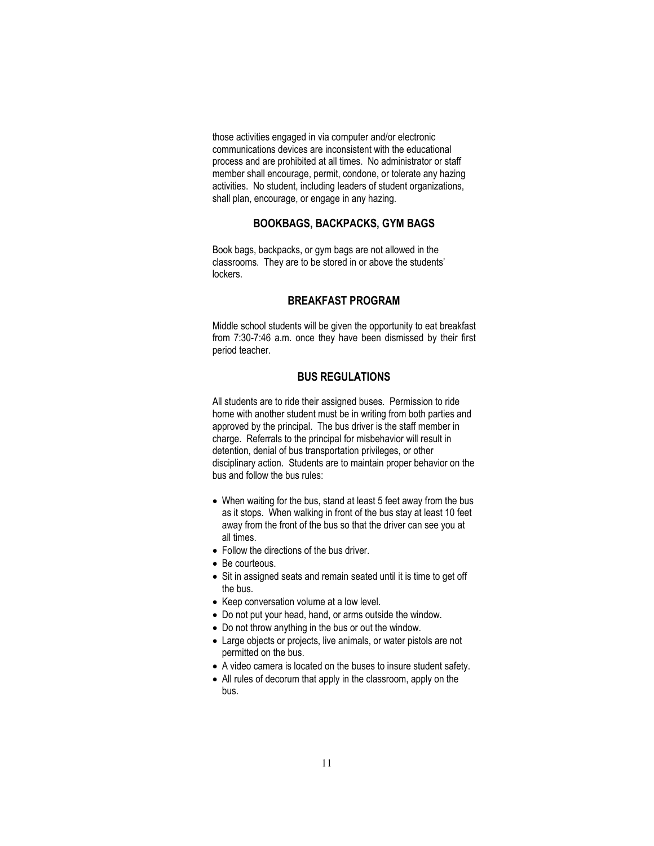those activities engaged in via computer and/or electronic communications devices are inconsistent with the educational process and are prohibited at all times. No administrator or staff member shall encourage, permit, condone, or tolerate any hazing activities. No student, including leaders of student organizations, shall plan, encourage, or engage in any hazing.

## **BOOKBAGS, BACKPACKS, GYM BAGS**

<span id="page-10-0"></span>Book bags, backpacks, or gym bags are not allowed in the classrooms. They are to be stored in or above the students' lockers.

## **BREAKFAST PROGRAM**

<span id="page-10-1"></span>Middle school students will be given the opportunity to eat breakfast from 7:30-7:46 a.m. once they have been dismissed by their first period teacher.

## **BUS REGULATIONS**

<span id="page-10-2"></span>All students are to ride their assigned buses. Permission to ride home with another student must be in writing from both parties and approved by the principal. The bus driver is the staff member in charge. Referrals to the principal for misbehavior will result in detention, denial of bus transportation privileges, or other disciplinary action. Students are to maintain proper behavior on the bus and follow the bus rules:

- When waiting for the bus, stand at least 5 feet away from the bus as it stops. When walking in front of the bus stay at least 10 feet away from the front of the bus so that the driver can see you at all times.
- Follow the directions of the bus driver.
- Be courteous.
- Sit in assigned seats and remain seated until it is time to get off the bus.
- Keep conversation volume at a low level.
- Do not put your head, hand, or arms outside the window.
- Do not throw anything in the bus or out the window.
- Large objects or projects, live animals, or water pistols are not permitted on the bus.
- A video camera is located on the buses to insure student safety.
- All rules of decorum that apply in the classroom, apply on the bus.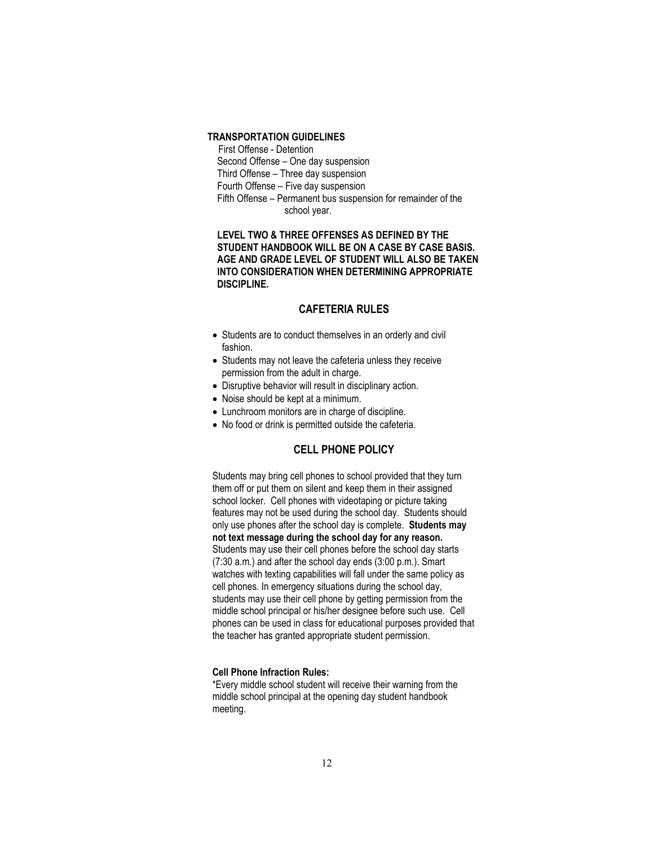## **TRANSPORTATION GUIDELINES**

 First Offense - Detention Second Offense – One day suspension Third Offense – Three day suspension Fourth Offense – Five day suspension Fifth Offense – Permanent bus suspension for remainder of the school year.

 **LEVEL TWO & THREE OFFENSES AS DEFINED BY THE STUDENT HANDBOOK WILL BE ON A CASE BY CASE BASIS. AGE AND GRADE LEVEL OF STUDENT WILL ALSO BE TAKEN INTO CONSIDERATION WHEN DETERMINING APPROPRIATE DISCIPLINE.**

## **CAFETERIA RULES**

- <span id="page-11-0"></span>• Students are to conduct themselves in an orderly and civil fashion.
- Students may not leave the cafeteria unless they receive permission from the adult in charge.
- Disruptive behavior will result in disciplinary action.
- Noise should be kept at a minimum.
- Lunchroom monitors are in charge of discipline.
- <span id="page-11-1"></span>• No food or drink is permitted outside the cafeteria.

## **CELL PHONE POLICY**

Students may bring cell phones to school provided that they turn them off or put them on silent and keep them in their assigned school locker. Cell phones with videotaping or picture taking features may not be used during the school day. Students should only use phones after the school day is complete. **Students may not text message during the school day for any reason.** Students may use their cell phones before the school day starts (7:30 a.m.) and after the school day ends (3:00 p.m.). Smart watches with texting capabilities will fall under the same policy as cell phones. In emergency situations during the school day, students may use their cell phone by getting permission from the middle school principal or his/her designee before such use. Cell phones can be used in class for educational purposes provided that the teacher has granted appropriate student permission.

#### **Cell Phone Infraction Rules:**

\*Every middle school student will receive their warning from the middle school principal at the opening day student handbook meeting.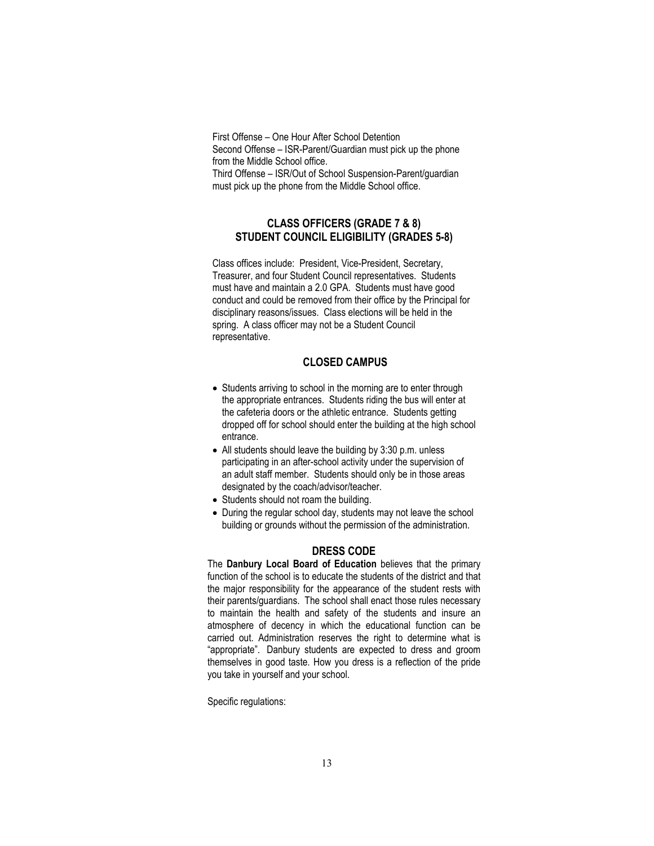First Offense – One Hour After School Detention Second Offense – ISR-Parent/Guardian must pick up the phone from the Middle School office. Third Offense – ISR/Out of School Suspension-Parent/guardian

must pick up the phone from the Middle School office.

## <span id="page-12-0"></span>**CLASS OFFICERS (GRADE 7 & 8) STUDENT COUNCIL ELIGIBILITY (GRADES 5-8)**

<span id="page-12-1"></span>Class offices include: President, Vice-President, Secretary, Treasurer, and four Student Council representatives. Students must have and maintain a 2.0 GPA. Students must have good conduct and could be removed from their office by the Principal for disciplinary reasons/issues. Class elections will be held in the spring. A class officer may not be a Student Council representative.

## <span id="page-12-2"></span>**CLOSED CAMPUS**

- Students arriving to school in the morning are to enter through the appropriate entrances. Students riding the bus will enter at the cafeteria doors or the athletic entrance. Students getting dropped off for school should enter the building at the high school entrance.
- All students should leave the building by 3:30 p.m. unless participating in an after-school activity under the supervision of an adult staff member. Students should only be in those areas designated by the coach/advisor/teacher.
- Students should not roam the building.
- During the regular school day, students may not leave the school building or grounds without the permission of the administration.

### **DRESS CODE**

<span id="page-12-3"></span>The **Danbury Local Board of Education** believes that the primary function of the school is to educate the students of the district and that the major responsibility for the appearance of the student rests with their parents/guardians. The school shall enact those rules necessary to maintain the health and safety of the students and insure an atmosphere of decency in which the educational function can be carried out. Administration reserves the right to determine what is "appropriate". Danbury students are expected to dress and groom themselves in good taste. How you dress is a reflection of the pride you take in yourself and your school.

Specific regulations: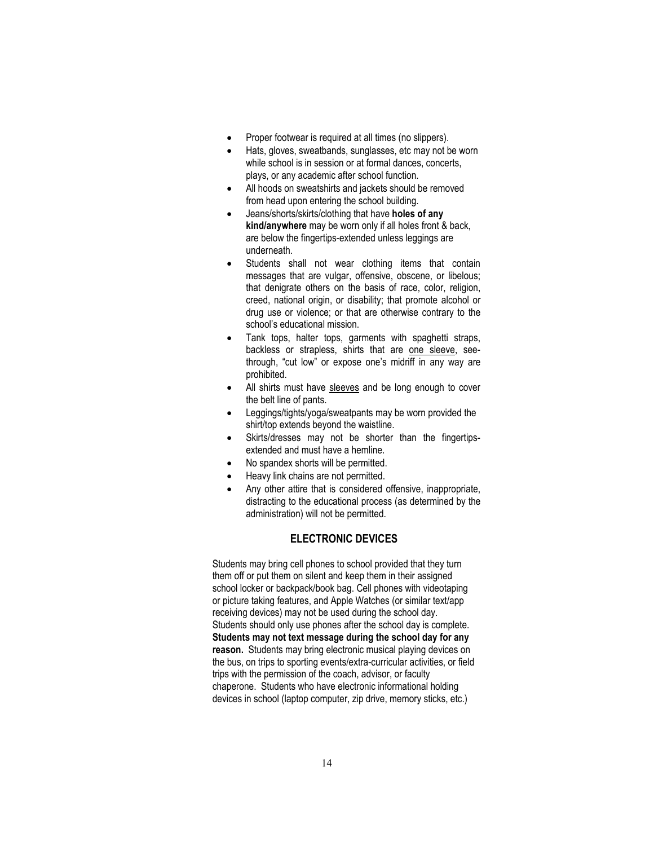- Proper footwear is required at all times (no slippers).
- Hats, gloves, sweatbands, sunglasses, etc may not be worn while school is in session or at formal dances, concerts, plays, or any academic after school function.
- All hoods on sweatshirts and jackets should be removed from head upon entering the school building.
- Jeans/shorts/skirts/clothing that have **holes of any kind/anywhere** may be worn only if all holes front & back, are below the fingertips-extended unless leggings are underneath.
- Students shall not wear clothing items that contain messages that are vulgar, offensive, obscene, or libelous; that denigrate others on the basis of race, color, religion, creed, national origin, or disability; that promote alcohol or drug use or violence; or that are otherwise contrary to the school's educational mission.
- Tank tops, halter tops, garments with spaghetti straps, backless or strapless, shirts that are one sleeve, seethrough, "cut low" or expose one's midriff in any way are prohibited.
- All shirts must have sleeves and be long enough to cover the belt line of pants.
- Leggings/tights/yoga/sweatpants may be worn provided the shirt/top extends beyond the waistline.
- Skirts/dresses may not be shorter than the fingertipsextended and must have a hemline.
- No spandex shorts will be permitted.
- Heavy link chains are not permitted.
- Anv other attire that is considered offensive, inappropriate, distracting to the educational process (as determined by the administration) will not be permitted.

#### **ELECTRONIC DEVICES**

<span id="page-13-0"></span>Students may bring cell phones to school provided that they turn them off or put them on silent and keep them in their assigned school locker or backpack/book bag. Cell phones with videotaping or picture taking features, and Apple Watches (or similar text/app receiving devices) may not be used during the school day. Students should only use phones after the school day is complete. **Students may not text message during the school day for any reason.** Students may bring electronic musical playing devices on the bus, on trips to sporting events/extra-curricular activities, or field trips with the permission of the coach, advisor, or faculty chaperone. Students who have electronic informational holding devices in school (laptop computer, zip drive, memory sticks, etc.)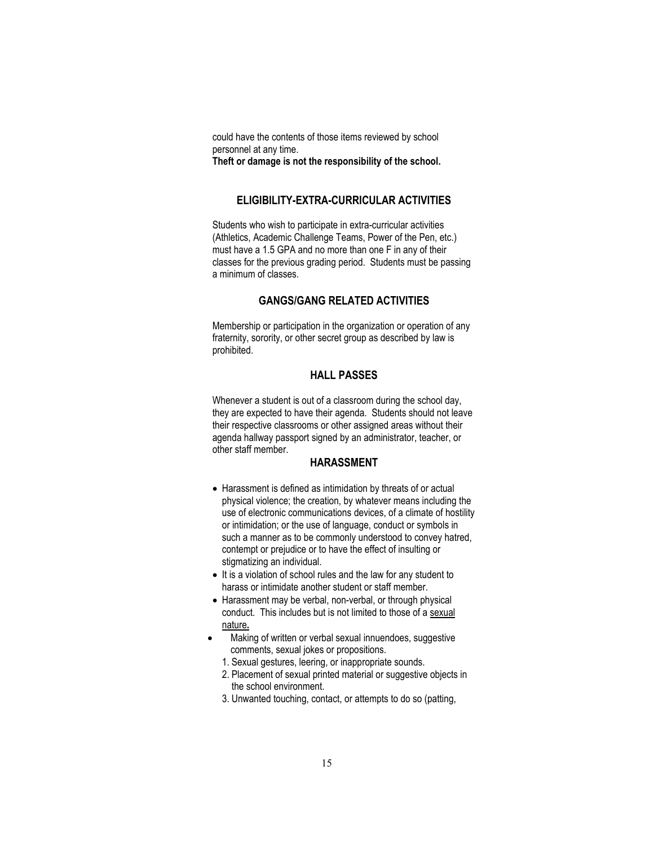could have the contents of those items reviewed by school personnel at any time. **Theft or damage is not the responsibility of the school.**

## **ELIGIBILITY-EXTRA-CURRICULAR ACTIVITIES**

<span id="page-14-0"></span>Students who wish to participate in extra-curricular activities (Athletics, Academic Challenge Teams, Power of the Pen, etc.) must have a 1.5 GPA and no more than one F in any of their classes for the previous grading period. Students must be passing a minimum of classes.

## **GANGS/GANG RELATED ACTIVITIES**

<span id="page-14-1"></span>Membership or participation in the organization or operation of any fraternity, sorority, or other secret group as described by law is prohibited.

#### **HALL PASSES**

<span id="page-14-2"></span>Whenever a student is out of a classroom during the school day, they are expected to have their agenda. Students should not leave their respective classrooms or other assigned areas without their agenda hallway passport signed by an administrator, teacher, or other staff member.

#### **HARASSMENT**

- <span id="page-14-3"></span>• Harassment is defined as intimidation by threats of or actual physical violence; the creation, by whatever means including the use of electronic communications devices, of a climate of hostility or intimidation; or the use of language, conduct or symbols in such a manner as to be commonly understood to convey hatred, contempt or prejudice or to have the effect of insulting or stigmatizing an individual.
- It is a violation of school rules and the law for any student to harass or intimidate another student or staff member.
- Harassment may be verbal, non-verbal, or through physical conduct. This includes but is not limited to those of a sexual nature**.**
- Making of written or verbal sexual innuendoes, suggestive comments, sexual jokes or propositions.
	- 1. Sexual gestures, leering, or inappropriate sounds.
	- 2. Placement of sexual printed material or suggestive objects in the school environment.
	- 3. Unwanted touching, contact, or attempts to do so (patting,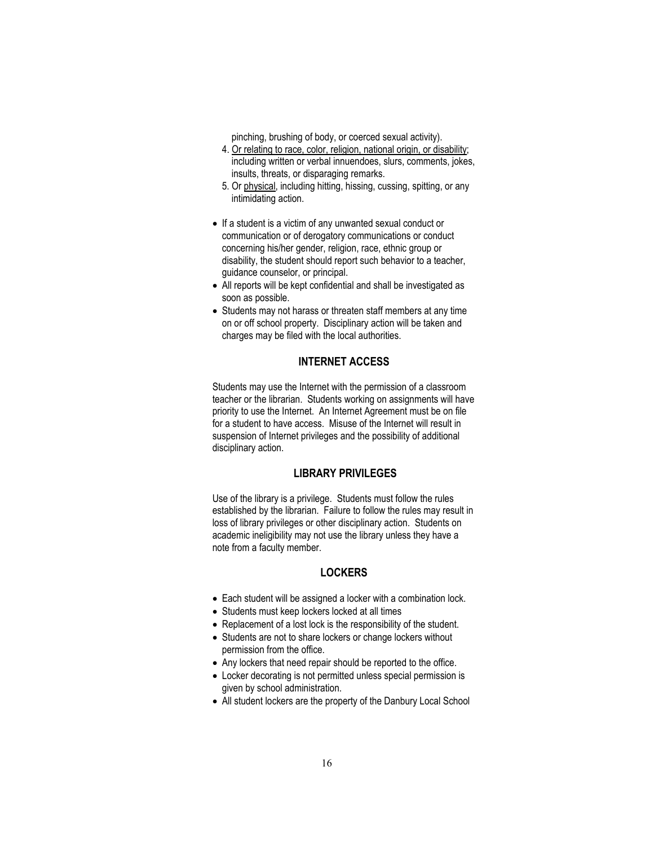pinching, brushing of body, or coerced sexual activity).

- 4. Or relating to race, color, religion, national origin, or disability; including written or verbal innuendoes, slurs, comments, jokes, insults, threats, or disparaging remarks.
- 5. Or physical, including hitting, hissing, cussing, spitting, or any intimidating action.
- If a student is a victim of any unwanted sexual conduct or communication or of derogatory communications or conduct concerning his/her gender, religion, race, ethnic group or disability, the student should report such behavior to a teacher, guidance counselor, or principal.
- All reports will be kept confidential and shall be investigated as soon as possible.
- Students may not harass or threaten staff members at any time on or off school property. Disciplinary action will be taken and charges may be filed with the local authorities.

## **INTERNET ACCESS**

<span id="page-15-0"></span>Students may use the Internet with the permission of a classroom teacher or the librarian. Students working on assignments will have priority to use the Internet. An Internet Agreement must be on file for a student to have access. Misuse of the Internet will result in suspension of Internet privileges and the possibility of additional disciplinary action.

## <span id="page-15-1"></span>**LIBRARY PRIVILEGES**

Use of the library is a privilege. Students must follow the rules established by the librarian. Failure to follow the rules may result in loss of library privileges or other disciplinary action. Students on academic ineligibility may not use the library unless they have a note from a faculty member.

#### **LOCKERS**

- <span id="page-15-2"></span>• Each student will be assigned a locker with a combination lock.
- Students must keep lockers locked at all times
- Replacement of a lost lock is the responsibility of the student.
- Students are not to share lockers or change lockers without permission from the office.
- Any lockers that need repair should be reported to the office.
- Locker decorating is not permitted unless special permission is given by school administration.
- All student lockers are the property of the Danbury Local School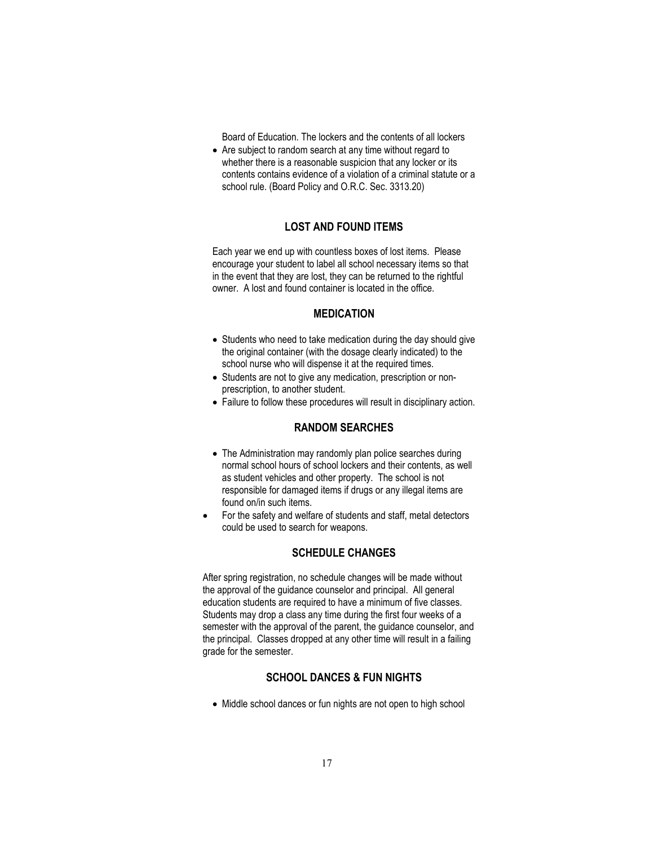Board of Education. The lockers and the contents of all lockers

• Are subject to random search at any time without regard to whether there is a reasonable suspicion that any locker or its contents contains evidence of a violation of a criminal statute or a school rule. (Board Policy and O.R.C. Sec. 3313.20)

## **LOST AND FOUND ITEMS**

<span id="page-16-0"></span>Each year we end up with countless boxes of lost items. Please encourage your student to label all school necessary items so that in the event that they are lost, they can be returned to the rightful owner. A lost and found container is located in the office.

## **MEDICATION**

- <span id="page-16-1"></span>• Students who need to take medication during the day should give the original container (with the dosage clearly indicated) to the school nurse who will dispense it at the required times.
- Students are not to give any medication, prescription or nonprescription, to another student.
- <span id="page-16-2"></span>• Failure to follow these procedures will result in disciplinary action.

#### **RANDOM SEARCHES**

- The Administration may randomly plan police searches during normal school hours of school lockers and their contents, as well as student vehicles and other property. The school is not responsible for damaged items if drugs or any illegal items are found on/in such items.
- For the safety and welfare of students and staff, metal detectors could be used to search for weapons.

## **SCHEDULE CHANGES**

<span id="page-16-3"></span>After spring registration, no schedule changes will be made without the approval of the guidance counselor and principal. All general education students are required to have a minimum of five classes. Students may drop a class any time during the first four weeks of a semester with the approval of the parent, the guidance counselor, and the principal. Classes dropped at any other time will result in a failing grade for the semester.

## **SCHOOL DANCES & FUN NIGHTS**

<span id="page-16-4"></span>• Middle school dances or fun nights are not open to high school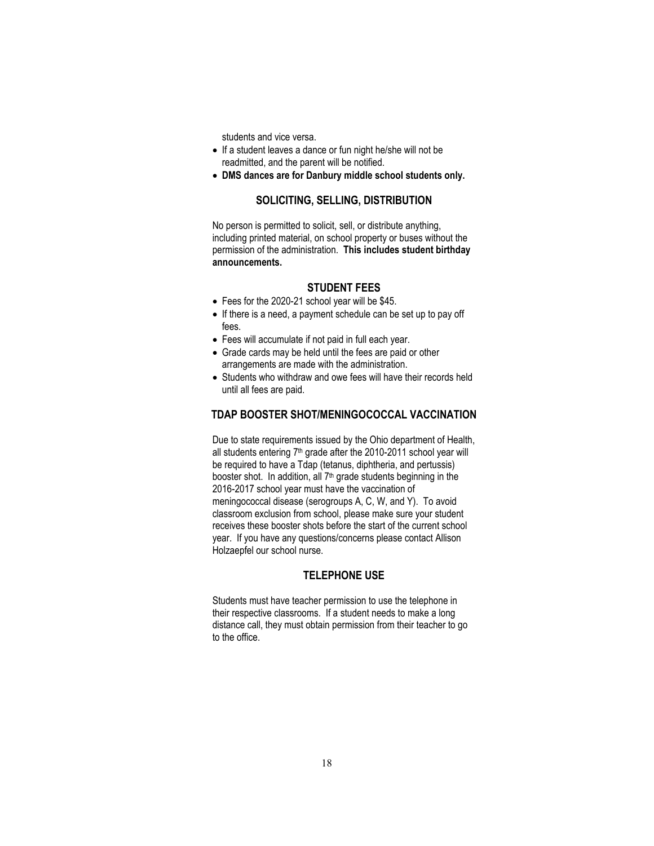students and vice versa.

- If a student leaves a dance or fun night he/she will not be readmitted, and the parent will be notified.
- <span id="page-17-0"></span>• **DMS dances are for Danbury middle school students only.**

## **SOLICITING, SELLING, DISTRIBUTION**

No person is permitted to solicit, sell, or distribute anything, including printed material, on school property or buses without the permission of the administration. **This includes student birthday announcements.**

## **STUDENT FEES**

- <span id="page-17-1"></span>• Fees for the 2020-21 school year will be \$45.
- If there is a need, a payment schedule can be set up to pay off fees.
- Fees will accumulate if not paid in full each year.
- Grade cards may be held until the fees are paid or other arrangements are made with the administration.
- Students who withdraw and owe fees will have their records held until all fees are paid.

## <span id="page-17-2"></span>**TDAP BOOSTER SHOT/MENINGOCOCCAL VACCINATION**

Due to state requirements issued by the Ohio department of Health, all students entering 7<sup>th</sup> grade after the 2010-2011 school year will be required to have a Tdap (tetanus, diphtheria, and pertussis) booster shot. In addition, all 7<sup>th</sup> grade students beginning in the 2016-2017 school year must have the vaccination of meningococcal disease (serogroups A, C, W, and Y). To avoid classroom exclusion from school, please make sure your student receives these booster shots before the start of the current school year. If you have any questions/concerns please contact Allison Holzaepfel our school nurse.

## **TELEPHONE USE**

<span id="page-17-3"></span>Students must have teacher permission to use the telephone in their respective classrooms. If a student needs to make a long distance call, they must obtain permission from their teacher to go to the office.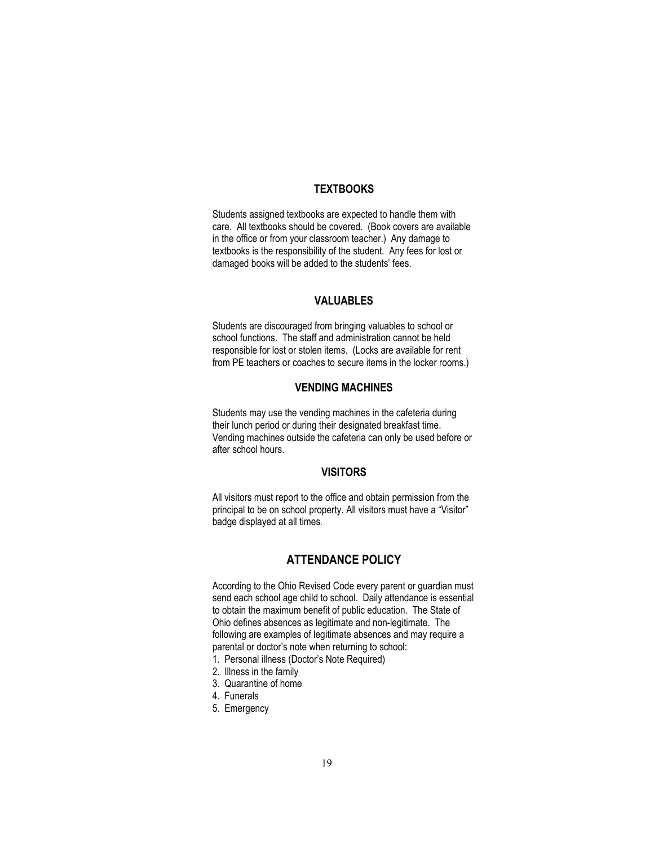## **TEXTBOOKS**

<span id="page-18-0"></span>Students assigned textbooks are expected to handle them with care. All textbooks should be covered. (Book covers are available in the office or from your classroom teacher.) Any damage to textbooks is the responsibility of the student. Any fees for lost or damaged books will be added to the students' fees.

## **VALUABLES**

<span id="page-18-1"></span>Students are discouraged from bringing valuables to school or school functions. The staff and administration cannot be held responsible for lost or stolen items. (Locks are available for rent from PE teachers or coaches to secure items in the locker rooms.)

## **VENDING MACHINES**

<span id="page-18-2"></span>Students may use the vending machines in the cafeteria during their lunch period or during their designated breakfast time. Vending machines outside the cafeteria can only be used before or after school hours.

## **VISITORS**

<span id="page-18-3"></span>All visitors must report to the office and obtain permission from the principal to be on school property. All visitors must have a "Visitor" badge displayed at all times.

## **ATTENDANCE POLICY**

<span id="page-18-4"></span>According to the Ohio Revised Code every parent or guardian must send each school age child to school. Daily attendance is essential to obtain the maximum benefit of public education. The State of Ohio defines absences as legitimate and non-legitimate. The following are examples of legitimate absences and may require a parental or doctor's note when returning to school:

- 1. Personal illness (Doctor's Note Required)
- 2. Illness in the family
- 3. Quarantine of home
- 4. Funerals
- 5. Emergency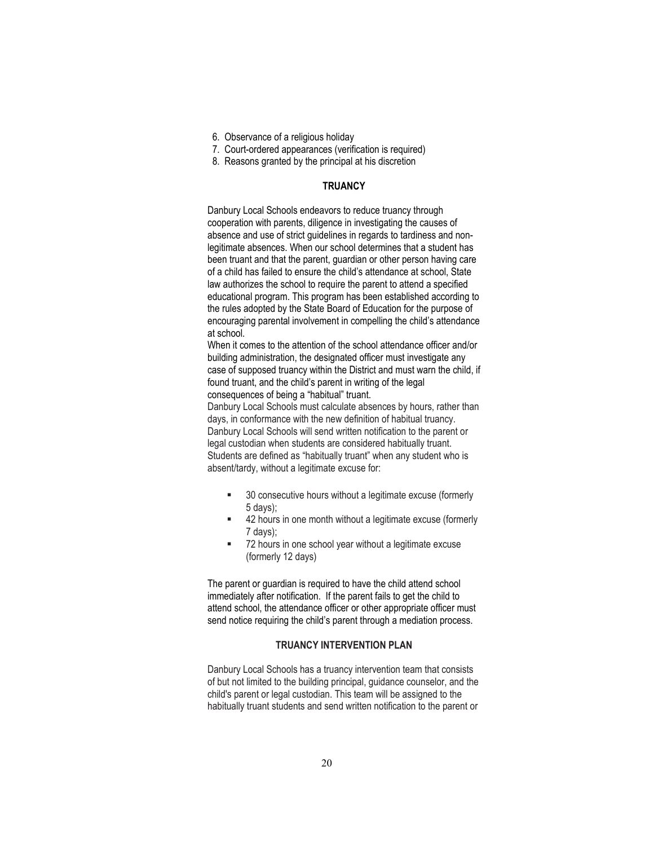- 6. Observance of a religious holiday
- 7. Court-ordered appearances (verification is required)
- 8. Reasons granted by the principal at his discretion

#### **TRUANCY**

Danbury Local Schools endeavors to reduce truancy through cooperation with parents, diligence in investigating the causes of absence and use of strict guidelines in regards to tardiness and nonlegitimate absences. When our school determines that a student has been truant and that the parent, guardian or other person having care of a child has failed to ensure the child's attendance at school, State law authorizes the school to require the parent to attend a specified educational program. This program has been established according to the rules adopted by the State Board of Education for the purpose of encouraging parental involvement in compelling the child's attendance at school.

When it comes to the attention of the school attendance officer and/or building administration, the designated officer must investigate any case of supposed truancy within the District and must warn the child, if found truant, and the child's parent in writing of the legal consequences of being a "habitual" truant.

Danbury Local Schools must calculate absences by hours, rather than days, in conformance with the new definition of habitual truancy. Danbury Local Schools will send written notification to the parent or legal custodian when students are considered habitually truant. Students are defined as "habitually truant" when any student who is absent/tardy, without a legitimate excuse for:

- 30 consecutive hours without a legitimate excuse (formerly 5 days);
- 42 hours in one month without a legitimate excuse (formerly 7 days);
- 72 hours in one school year without a legitimate excuse (formerly 12 days)

The parent or guardian is required to have the child attend school immediately after notification. If the parent fails to get the child to attend school, the attendance officer or other appropriate officer must send notice requiring the child's parent through a mediation process.

#### **TRUANCY INTERVENTION PLAN**

Danbury Local Schools has a truancy intervention team that consists of but not limited to the building principal, guidance counselor, and the child's parent or legal custodian. This team will be assigned to the habitually truant students and send written notification to the parent or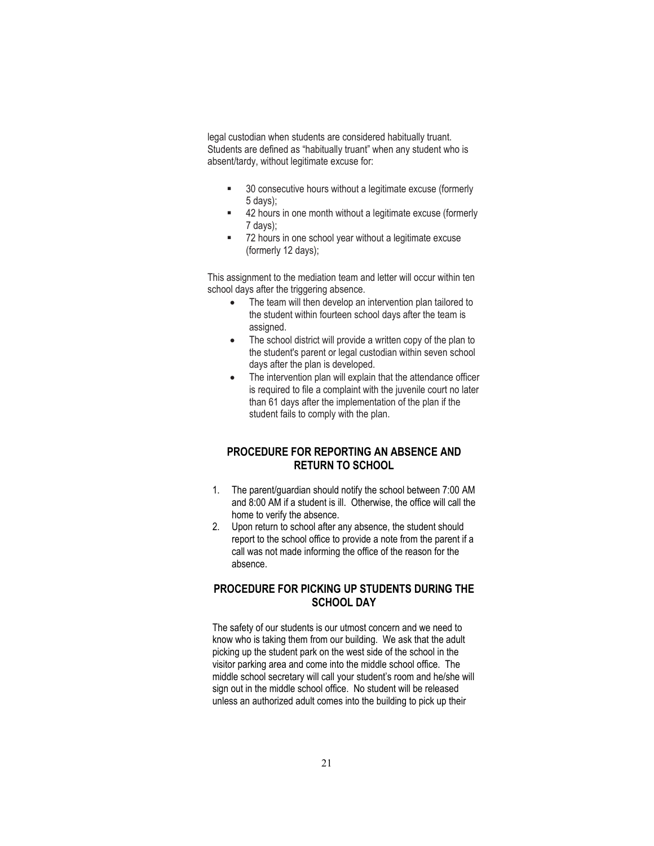legal custodian when students are considered habitually truant. Students are defined as "habitually truant" when any student who is absent/tardy, without legitimate excuse for:

- **30** consecutive hours without a legitimate excuse (formerly 5 days);
- 42 hours in one month without a legitimate excuse (formerly 7 days);
- 72 hours in one school year without a legitimate excuse (formerly 12 days);

This assignment to the mediation team and letter will occur within ten school days after the triggering absence.

- The team will then develop an intervention plan tailored to the student within fourteen school days after the team is assigned.
- The school district will provide a written copy of the plan to the student's parent or legal custodian within seven school days after the plan is developed.
- The intervention plan will explain that the attendance officer is required to file a complaint with the juvenile court no later than 61 days after the implementation of the plan if the student fails to comply with the plan.

## <span id="page-20-0"></span>**PROCEDURE FOR REPORTING AN ABSENCE AND RETURN TO SCHOOL**

- 1. The parent/guardian should notify the school between 7:00 AM and 8:00 AM if a student is ill. Otherwise, the office will call the home to verify the absence.
- 2. Upon return to school after any absence, the student should report to the school office to provide a note from the parent if a call was not made informing the office of the reason for the absence.

## <span id="page-20-1"></span>**PROCEDURE FOR PICKING UP STUDENTS DURING THE SCHOOL DAY**

The safety of our students is our utmost concern and we need to know who is taking them from our building. We ask that the adult picking up the student park on the west side of the school in the visitor parking area and come into the middle school office. The middle school secretary will call your student's room and he/she will sign out in the middle school office. No student will be released unless an authorized adult comes into the building to pick up their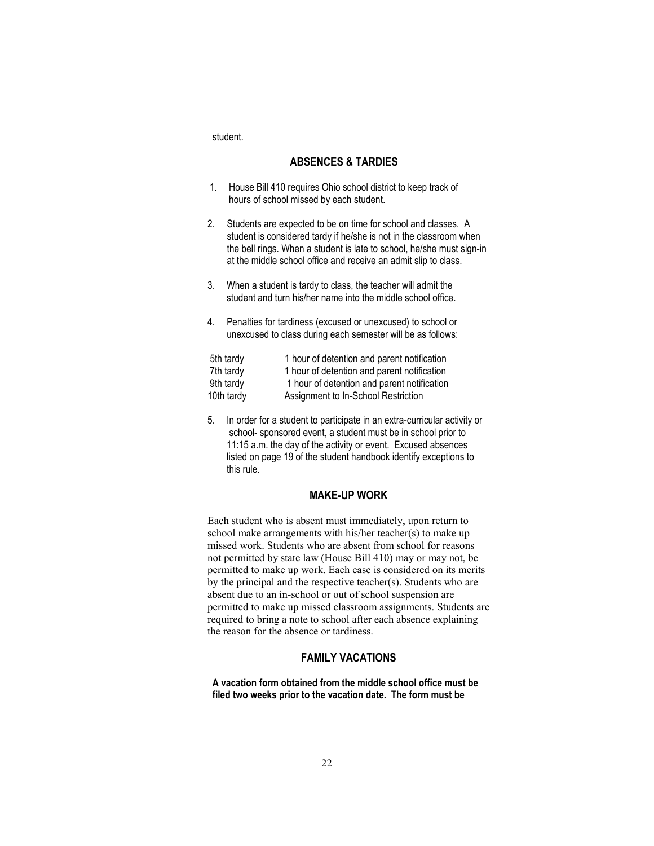<span id="page-21-0"></span>student.

#### **ABSENCES & TARDIES**

- 1. House Bill 410 requires Ohio school district to keep track of hours of school missed by each student.
- 2.Students are expected to be on time for school and classes. A student is considered tardy if he/she is not in the classroom when the bell rings. When a student is late to school, he/she must sign-in at the middle school office and receive an admit slip to class.
- 3. When a student is tardy to class, the teacher will admit the student and turn his/her name into the middle school office.
- 4. Penalties for tardiness (excused or unexcused) to school or unexcused to class during each semester will be as follows:

| 5th tardy  | 1 hour of detention and parent notification |
|------------|---------------------------------------------|
| 7th tardy  | 1 hour of detention and parent notification |
| 9th tardy  | 1 hour of detention and parent notification |
| 10th tardy | Assignment to In-School Restriction         |

5. In order for a student to participate in an extra-curricular activity or school- sponsored event, a student must be in school prior to 11:15 a.m. the day of the activity or event. Excused absences listed on page 19 of the student handbook identify exceptions to this rule.

## **MAKE-UP WORK**

<span id="page-21-1"></span>Each student who is absent must immediately, upon return to school make arrangements with his/her teacher(s) to make up missed work. Students who are absent from school for reasons not permitted by state law (House Bill 410) may or may not, be permitted to make up work. Each case is considered on its merits by the principal and the respective teacher(s). Students who are absent due to an in-school or out of school suspension are permitted to make up missed classroom assignments. Students are required to bring a note to school after each absence explaining the reason for the absence or tardiness.

#### **FAMILY VACATIONS**

<span id="page-21-2"></span>**A vacation form obtained from the middle school office must be filed two weeks prior to the vacation date. The form must be**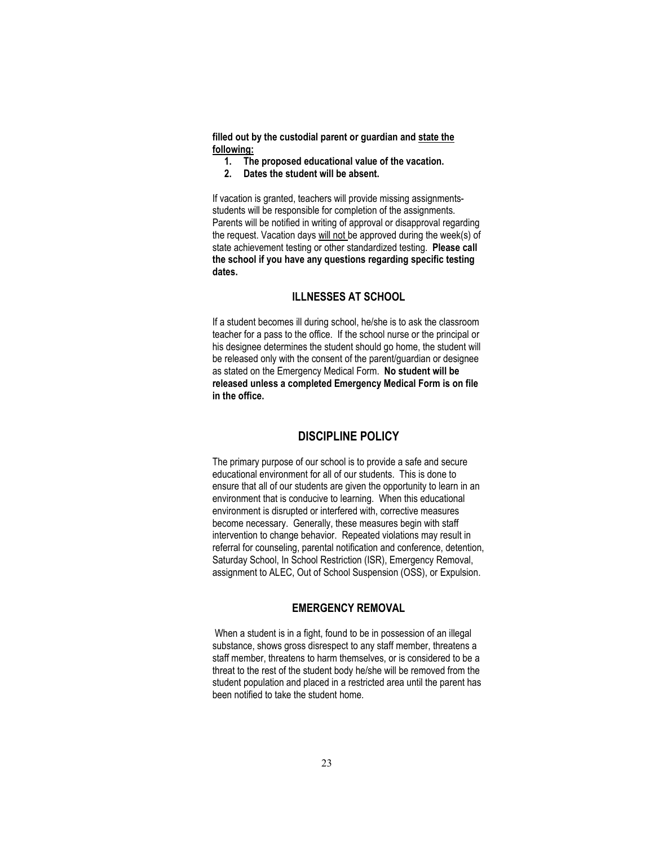**filled out by the custodial parent or guardian and state the following:**

- **1. The proposed educational value of the vacation.**
- **2. Dates the student will be absent.**

If vacation is granted, teachers will provide missing assignmentsstudents will be responsible for completion of the assignments. Parents will be notified in writing of approval or disapproval regarding the request. Vacation days will not be approved during the week(s) of state achievement testing or other standardized testing. **Please call the school if you have any questions regarding specific testing dates.**

## **ILLNESSES AT SCHOOL**

If a student becomes ill during school, he/she is to ask the classroom teacher for a pass to the office. If the school nurse or the principal or his designee determines the student should go home, the student will be released only with the consent of the parent/guardian or designee as stated on the Emergency Medical Form. **No student will be released unless a completed Emergency Medical Form is on file in the office.** 

## **DISCIPLINE POLICY**

<span id="page-22-0"></span>The primary purpose of our school is to provide a safe and secure educational environment for all of our students. This is done to ensure that all of our students are given the opportunity to learn in an environment that is conducive to learning. When this educational environment is disrupted or interfered with, corrective measures become necessary. Generally, these measures begin with staff intervention to change behavior. Repeated violations may result in referral for counseling, parental notification and conference, detention, Saturday School, In School Restriction (ISR), Emergency Removal, assignment to ALEC, Out of School Suspension (OSS), or Expulsion.

## **EMERGENCY REMOVAL**

<span id="page-22-1"></span>When a student is in a fight, found to be in possession of an illegal substance, shows gross disrespect to any staff member, threatens a staff member, threatens to harm themselves, or is considered to be a threat to the rest of the student body he/she will be removed from the student population and placed in a restricted area until the parent has been notified to take the student home.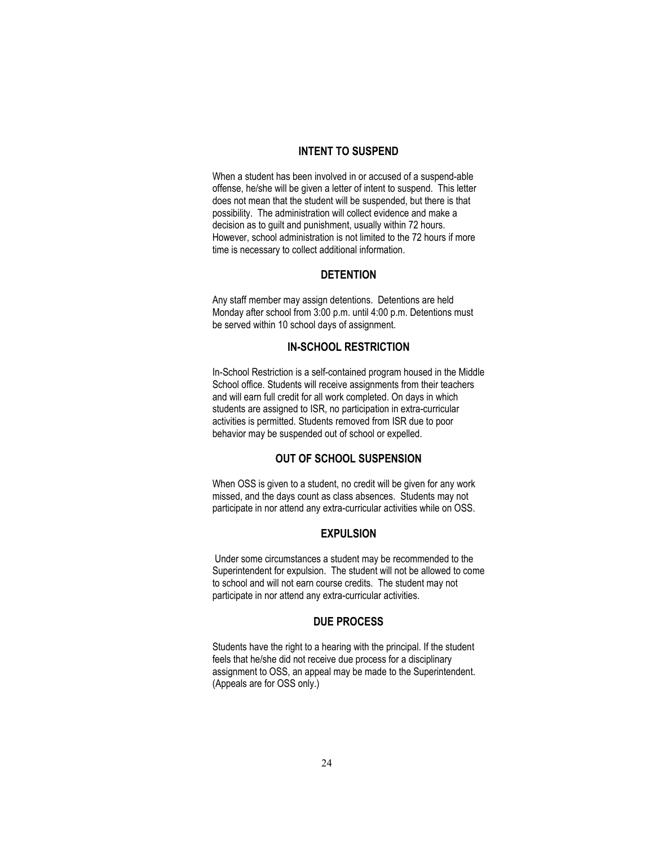#### **INTENT TO SUSPEND**

<span id="page-23-0"></span>When a student has been involved in or accused of a suspend-able offense, he/she will be given a letter of intent to suspend. This letter does not mean that the student will be suspended, but there is that possibility. The administration will collect evidence and make a decision as to guilt and punishment, usually within 72 hours. However, school administration is not limited to the 72 hours if more time is necessary to collect additional information.

## **DETENTION**

<span id="page-23-1"></span>Any staff member may assign detentions. Detentions are held Monday after school from 3:00 p.m. until 4:00 p.m. Detentions must be served within 10 school days of assignment.

## **IN-SCHOOL RESTRICTION**

<span id="page-23-2"></span>In-School Restriction is a self-contained program housed in the Middle School office. Students will receive assignments from their teachers and will earn full credit for all work completed. On days in which students are assigned to ISR, no participation in extra-curricular activities is permitted. Students removed from ISR due to poor behavior may be suspended out of school or expelled.

## **OUT OF SCHOOL SUSPENSION**

<span id="page-23-3"></span>When OSS is given to a student, no credit will be given for any work missed, and the days count as class absences. Students may not participate in nor attend any extra-curricular activities while on OSS.

#### **EXPULSION**

<span id="page-23-4"></span>Under some circumstances a student may be recommended to the Superintendent for expulsion. The student will not be allowed to come to school and will not earn course credits. The student may not participate in nor attend any extra-curricular activities.

#### **DUE PROCESS**

<span id="page-23-5"></span>Students have the right to a hearing with the principal. If the student feels that he/she did not receive due process for a disciplinary assignment to OSS, an appeal may be made to the Superintendent. (Appeals are for OSS only.)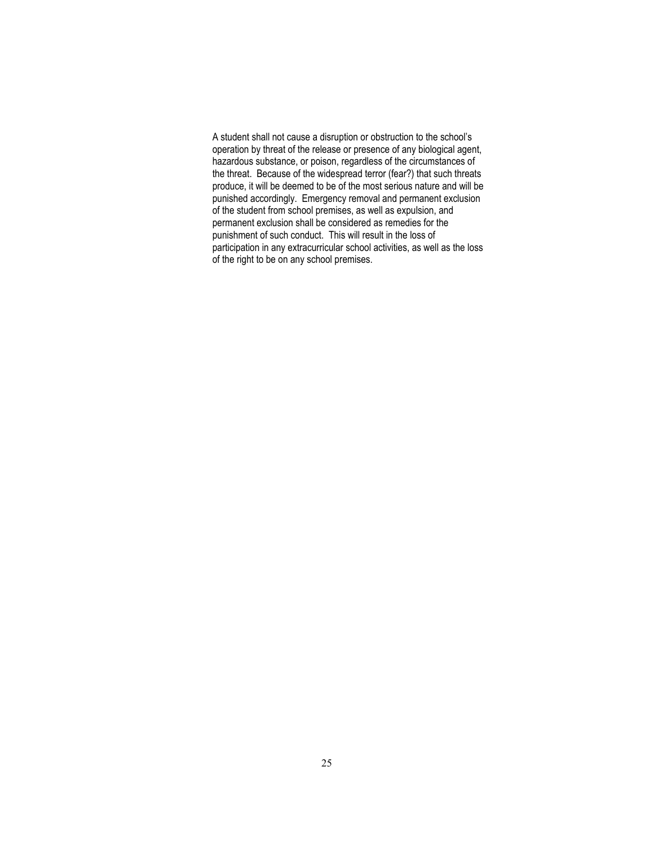A student shall not cause a disruption or obstruction to the school's operation by threat of the release or presence of any biological agent, hazardous substance, or poison, regardless of the circumstances of the threat. Because of the widespread terror (fear?) that such threats produce, it will be deemed to be of the most serious nature and will be punished accordingly. Emergency removal and permanent exclusion of the student from school premises, as well as expulsion, and permanent exclusion shall be considered as remedies for the punishment of such conduct. This will result in the loss of participation in any extracurricular school activities, as well as the loss of the right to be on any school premises.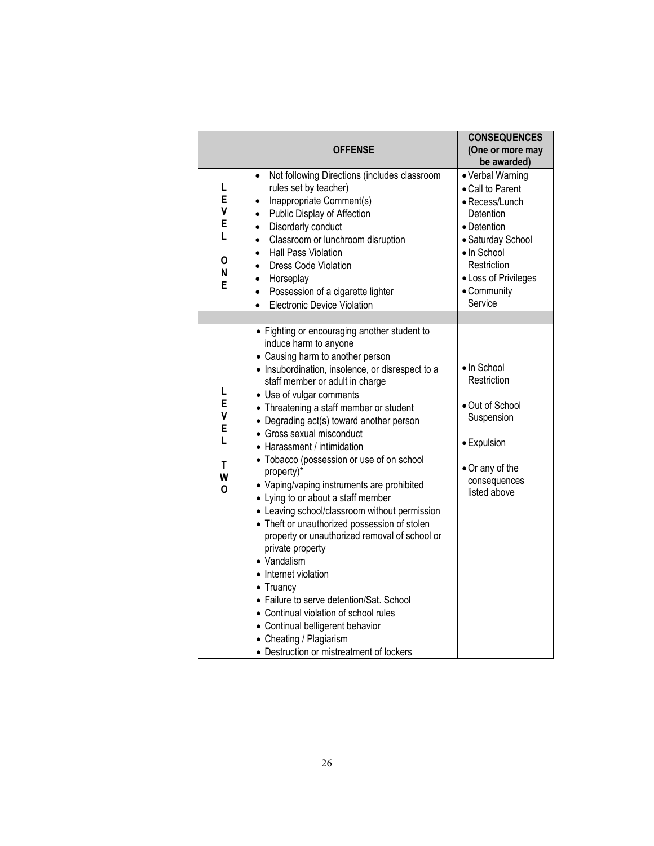|                                      | <b>OFFENSE</b>                                                                                                                                                                                                                                                                                                                                                                                                                                                                                                                                                                                                                                                                                                                                                                                                                                                                                                                                                   | <b>CONSEQUENCES</b><br>(One or more may<br>be awarded)                                                                                                                                  |
|--------------------------------------|------------------------------------------------------------------------------------------------------------------------------------------------------------------------------------------------------------------------------------------------------------------------------------------------------------------------------------------------------------------------------------------------------------------------------------------------------------------------------------------------------------------------------------------------------------------------------------------------------------------------------------------------------------------------------------------------------------------------------------------------------------------------------------------------------------------------------------------------------------------------------------------------------------------------------------------------------------------|-----------------------------------------------------------------------------------------------------------------------------------------------------------------------------------------|
| L<br>Е<br>٧<br>Е<br>L<br>0<br>N<br>Е | Not following Directions (includes classroom<br>$\bullet$<br>rules set by teacher)<br>Inappropriate Comment(s)<br>$\bullet$<br>Public Display of Affection<br>$\bullet$<br>Disorderly conduct<br>$\bullet$<br>Classroom or lunchroom disruption<br>$\bullet$<br>Hall Pass Violation<br>$\bullet$<br><b>Dress Code Violation</b><br>$\bullet$<br>Horseplay<br>$\bullet$<br>Possession of a cigarette lighter<br>$\bullet$<br><b>Electronic Device Violation</b>                                                                                                                                                                                                                                                                                                                                                                                                                                                                                                   | • Verbal Warning<br>• Call to Parent<br>• Recess/Lunch<br>Detention<br>• Detention<br>• Saturday School<br>· In School<br>Restriction<br>• Loss of Privileges<br>• Community<br>Service |
| Г<br>E<br>٧<br>E<br>L<br>T<br>W<br>0 | • Fighting or encouraging another student to<br>induce harm to anyone<br>• Causing harm to another person<br>· Insubordination, insolence, or disrespect to a<br>staff member or adult in charge<br>• Use of vulgar comments<br>• Threatening a staff member or student<br>• Degrading act(s) toward another person<br>• Gross sexual misconduct<br>• Harassment / intimidation<br>• Tobacco (possession or use of on school<br>property)*<br>• Vaping/vaping instruments are prohibited<br>• Lying to or about a staff member<br>• Leaving school/classroom without permission<br>• Theft or unauthorized possession of stolen<br>property or unauthorized removal of school or<br>private property<br>• Vandalism<br>• Internet violation<br>$\bullet$ Truancy<br>• Failure to serve detention/Sat. School<br>• Continual violation of school rules<br>• Continual belligerent behavior<br>• Cheating / Plagiarism<br>• Destruction or mistreatment of lockers | · In School<br>Restriction<br>· Out of School<br>Suspension<br>· Expulsion<br>• Or any of the<br>consequences<br>listed above                                                           |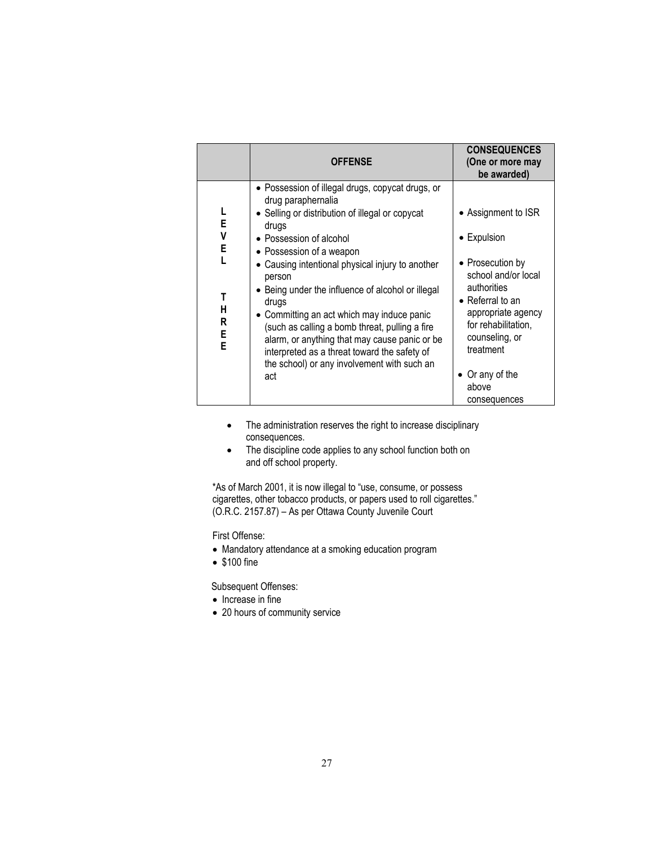|                                           | <b>OFFENSE</b>                                                                                                                                                                                                                                                                                                                                                                                                                                                                                                                                                               | <b>CONSEQUENCES</b><br>(One or more may<br>be awarded)                                                                                                                                                                                 |
|-------------------------------------------|------------------------------------------------------------------------------------------------------------------------------------------------------------------------------------------------------------------------------------------------------------------------------------------------------------------------------------------------------------------------------------------------------------------------------------------------------------------------------------------------------------------------------------------------------------------------------|----------------------------------------------------------------------------------------------------------------------------------------------------------------------------------------------------------------------------------------|
| L<br>E<br>V<br>E<br>Т<br>Н<br>R<br>E<br>E | • Possession of illegal drugs, copycat drugs, or<br>drug paraphernalia<br>• Selling or distribution of illegal or copycat<br>drugs<br>• Possession of alcohol<br>• Possession of a weapon<br>• Causing intentional physical injury to another<br>person<br>• Being under the influence of alcohol or illegal<br>drugs<br>• Committing an act which may induce panic<br>(such as calling a bomb threat, pulling a fire<br>alarm, or anything that may cause panic or be<br>interpreted as a threat toward the safety of<br>the school) or any involvement with such an<br>act | Assignment to ISR<br>• Expulsion<br>• Prosecution by<br>school and/or local<br>authorities<br>• Referral to an<br>appropriate agency<br>for rehabilitation,<br>counseling, or<br>treatment<br>• Or any of the<br>above<br>consequences |

- The administration reserves the right to increase disciplinary consequences.
- The discipline code applies to any school function both on and off school property.

\*As of March 2001, it is now illegal to "use, consume, or possess cigarettes, other tobacco products, or papers used to roll cigarettes." (O.R.C. 2157.87) – As per Ottawa County Juvenile Court

First Offense:

- Mandatory attendance at a smoking education program
- \$100 fine

Subsequent Offenses:

- Increase in fine
- 20 hours of community service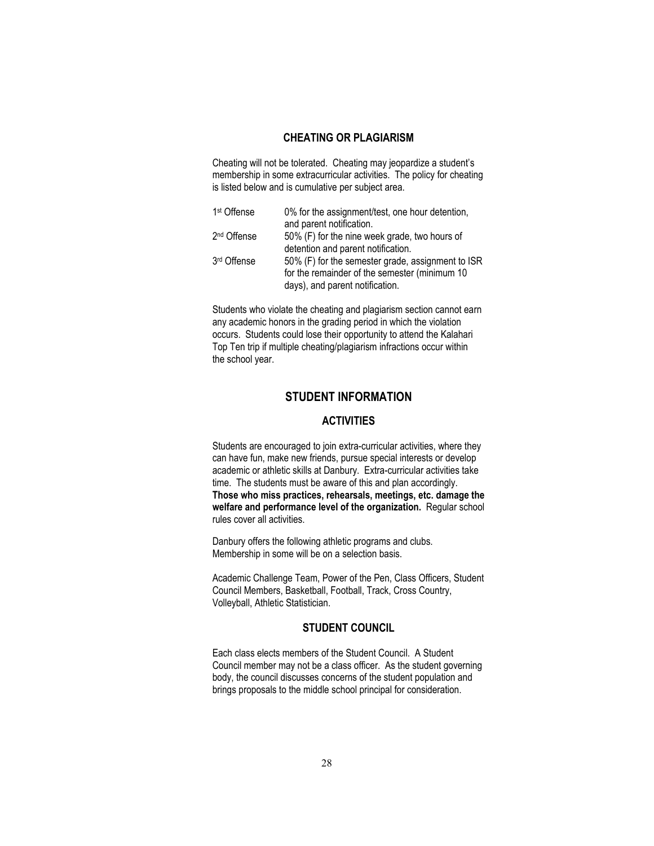## **CHEATING OR PLAGIARISM**

<span id="page-27-0"></span>Cheating will not be tolerated. Cheating may jeopardize a student's membership in some extracurricular activities. The policy for cheating is listed below and is cumulative per subject area.

| 1 <sup>st</sup> Offense | 0% for the assignment/test, one hour detention,   |
|-------------------------|---------------------------------------------------|
|                         | and parent notification.                          |
| 2 <sup>nd</sup> Offense | 50% (F) for the nine week grade, two hours of     |
|                         | detention and parent notification.                |
| 3rd Offense             | 50% (F) for the semester grade, assignment to ISR |
|                         | for the remainder of the semester (minimum 10)    |
|                         | days), and parent notification.                   |

Students who violate the cheating and plagiarism section cannot earn any academic honors in the grading period in which the violation occurs. Students could lose their opportunity to attend the Kalahari Top Ten trip if multiple cheating/plagiarism infractions occur within the school year.

## **STUDENT INFORMATION**

## **ACTIVITIES**

<span id="page-27-2"></span><span id="page-27-1"></span>Students are encouraged to join extra-curricular activities, where they can have fun, make new friends, pursue special interests or develop academic or athletic skills at Danbury. Extra-curricular activities take time. The students must be aware of this and plan accordingly. **Those who miss practices, rehearsals, meetings, etc. damage the welfare and performance level of the organization.** Regular school rules cover all activities.

Danbury offers the following athletic programs and clubs. Membership in some will be on a selection basis.

Academic Challenge Team, Power of the Pen, Class Officers, Student Council Members, Basketball, Football, Track, Cross Country, Volleyball, Athletic Statistician.

## **STUDENT COUNCIL**

<span id="page-27-3"></span>Each class elects members of the Student Council. A Student Council member may not be a class officer. As the student governing body, the council discusses concerns of the student population and brings proposals to the middle school principal for consideration.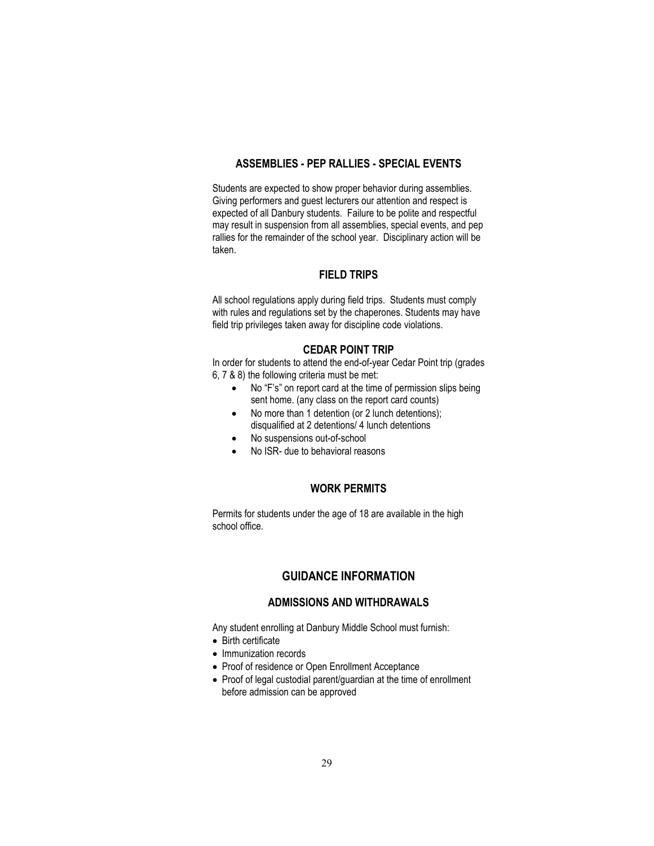## **ASSEMBLIES - PEP RALLIES - SPECIAL EVENTS**

<span id="page-28-0"></span>Students are expected to show proper behavior during assemblies. Giving performers and guest lecturers our attention and respect is expected of all Danbury students. Failure to be polite and respectful may result in suspension from all assemblies, special events, and pep rallies for the remainder of the school year. Disciplinary action will be taken.

#### **FIELD TRIPS**

<span id="page-28-1"></span>All school regulations apply during field trips. Students must comply with rules and regulations set by the chaperones. Students may have field trip privileges taken away for discipline code violations.

#### **CEDAR POINT TRIP**

In order for students to attend the end-of-year Cedar Point trip (grades 6, 7 & 8) the following criteria must be met:

- No "F's" on report card at the time of permission slips being sent home. (any class on the report card counts)
- No more than 1 detention (or 2 lunch detentions); disqualified at 2 detentions/ 4 lunch detentions
- No suspensions out-of-school
- No ISR- due to behavioral reasons

## **WORK PERMITS**

<span id="page-28-2"></span>Permits for students under the age of 18 are available in the high school office.

## **GUIDANCE INFORMATION**

## **ADMISSIONS AND WITHDRAWALS**

<span id="page-28-4"></span><span id="page-28-3"></span>Any student enrolling at Danbury Middle School must furnish:

- Birth certificate
- Immunization records
- Proof of residence or Open Enrollment Acceptance
- Proof of legal custodial parent/guardian at the time of enrollment before admission can be approved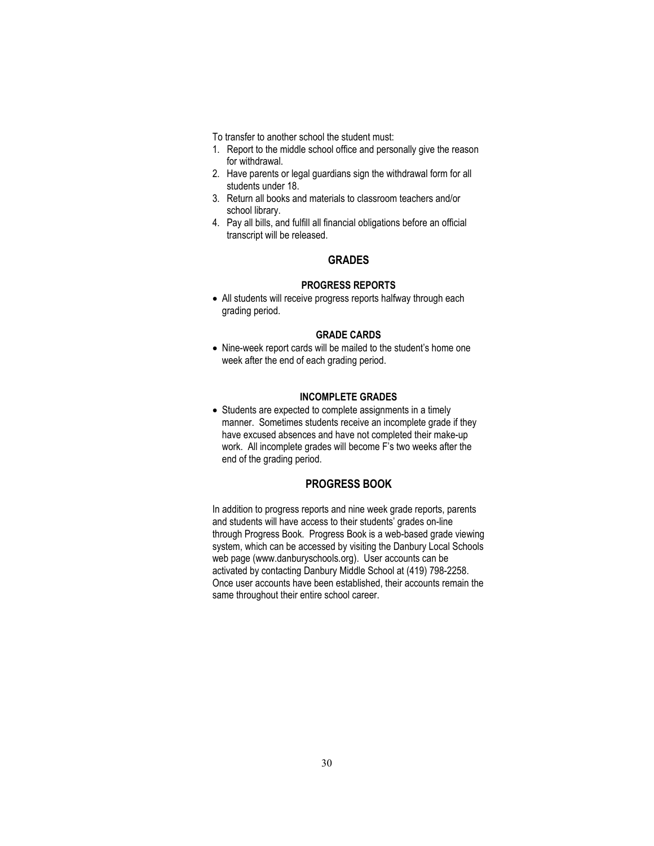- To transfer to another school the student must:
- 1. Report to the middle school office and personally give the reason for withdrawal.
- 2. Have parents or legal guardians sign the withdrawal form for all students under 18.
- 3. Return all books and materials to classroom teachers and/or school library.
- <span id="page-29-0"></span>4. Pay all bills, and fulfill all financial obligations before an official transcript will be released.

#### **GRADES**

#### **PROGRESS REPORTS**

• All students will receive progress reports halfway through each grading period.

#### **GRADE CARDS**

• Nine-week report cards will be mailed to the student's home one week after the end of each grading period.

## **INCOMPLETE GRADES**

• Students are expected to complete assignments in a timely manner. Sometimes students receive an incomplete grade if they have excused absences and have not completed their make-up work. All incomplete grades will become F's two weeks after the end of the grading period.

## **PROGRESS BOOK**

<span id="page-29-1"></span>In addition to progress reports and nine week grade reports, parents and students will have access to their students' grades on-line through Progress Book. Progress Book is a web-based grade viewing system, which can be accessed by visiting the Danbury Local Schools web page (www.danburyschools.org). User accounts can be activated by contacting Danbury Middle School at (419) 798-2258. Once user accounts have been established, their accounts remain the same throughout their entire school career.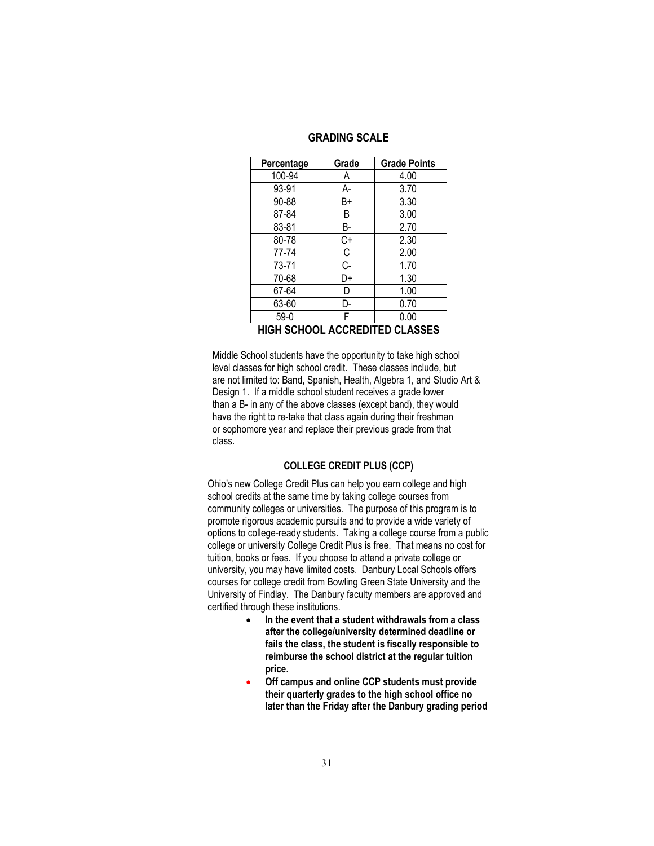| <b>GRADING SCALE</b> |  |  |
|----------------------|--|--|
|----------------------|--|--|

<span id="page-30-0"></span>

| Percentage                            | Grade | <b>Grade Points</b> |  |
|---------------------------------------|-------|---------------------|--|
| 100-94                                | Α     | 4.00                |  |
| 93-91                                 | А-    | 3.70                |  |
| 90-88                                 | B+    | 3.30                |  |
| 87-84                                 | B     | 3.00                |  |
| 83-81                                 | В-    | 2.70                |  |
| 80-78                                 | C+    | 2.30                |  |
| 77-74                                 | C     | 2.00                |  |
| 73-71                                 | C-    | 1.70                |  |
| 70-68                                 | D+    | 1.30                |  |
| 67-64                                 | D     | 1.00                |  |
| 63-60                                 | D-    | 0.70                |  |
| $59-0$                                | F     | 0.00                |  |
| <b>HIGH SCHOOL ACCREDITED CLASSES</b> |       |                     |  |

<span id="page-30-1"></span> Middle School students have the opportunity to take high school level classes for high school credit. These classes include, but are not limited to: Band, Spanish, Health, Algebra 1, and Studio Art & Design 1. If a middle school student receives a grade lower than a B- in any of the above classes (except band), they would have the right to re-take that class again during their freshman or sophomore year and replace their previous grade from that class.

#### **COLLEGE CREDIT PLUS (CCP)**

Ohio's new College Credit Plus can help you earn college and high school credits at the same time by taking college courses from community colleges or universities. The purpose of this program is to promote rigorous academic pursuits and to provide a wide variety of options to college-ready students. Taking a college course from a public college or university College Credit Plus is free. That means no cost for tuition, books or fees. If you choose to attend a private college or university, you may have limited costs.Danbury Local Schools offers courses for college credit from Bowling Green State University and the University of Findlay. The Danbury faculty members are approved and certified through these institutions.

- **In the event that a student withdrawals from a class after the college/university determined deadline or fails the class, the student is fiscally responsible to reimburse the school district at the regular tuition price.**
- **Off campus and online CCP students must provide their quarterly grades to the high school office no later than the Friday after the Danbury grading period**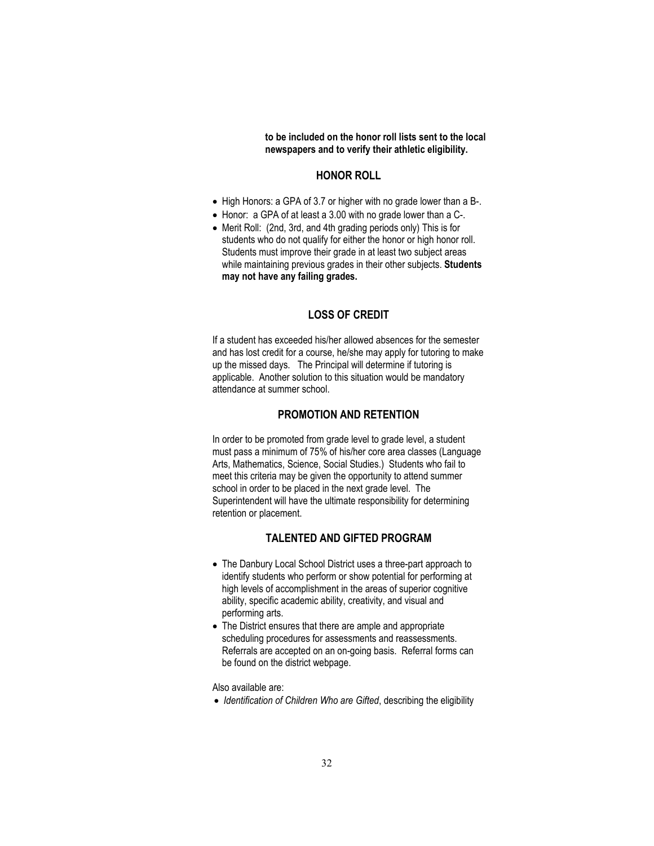**to be included on the honor roll lists sent to the local newspapers and to verify their athletic eligibility.** 

#### **HONOR ROLL**

- <span id="page-31-0"></span>• High Honors: a GPA of 3.7 or higher with no grade lower than a B-.
- Honor: a GPA of at least a 3.00 with no grade lower than a C-.
- Merit Roll: (2nd, 3rd, and 4th grading periods only) This is for students who do not qualify for either the honor or high honor roll. Students must improve their grade in at least two subject areas while maintaining previous grades in their other subjects. **Students may not have any failing grades.**

#### **LOSS OF CREDIT**

<span id="page-31-1"></span>If a student has exceeded his/her allowed absences for the semester and has lost credit for a course, he/she may apply for tutoring to make up the missed days. The Principal will determine if tutoring is applicable. Another solution to this situation would be mandatory attendance at summer school.

## **PROMOTION AND RETENTION**

<span id="page-31-2"></span>In order to be promoted from grade level to grade level, a student must pass a minimum of 75% of his/her core area classes (Language Arts, Mathematics, Science, Social Studies.) Students who fail to meet this criteria may be given the opportunity to attend summer school in order to be placed in the next grade level. The Superintendent will have the ultimate responsibility for determining retention or placement.

## **TALENTED AND GIFTED PROGRAM**

- <span id="page-31-3"></span>• The Danbury Local School District uses a three-part approach to identify students who perform or show potential for performing at high levels of accomplishment in the areas of superior cognitive ability, specific academic ability, creativity, and visual and performing arts.
- The District ensures that there are ample and appropriate scheduling procedures for assessments and reassessments. Referrals are accepted on an on-going basis. Referral forms can be found on the district webpage.

Also available are:

• *Identification of Children Who are Gifted*, describing the eligibility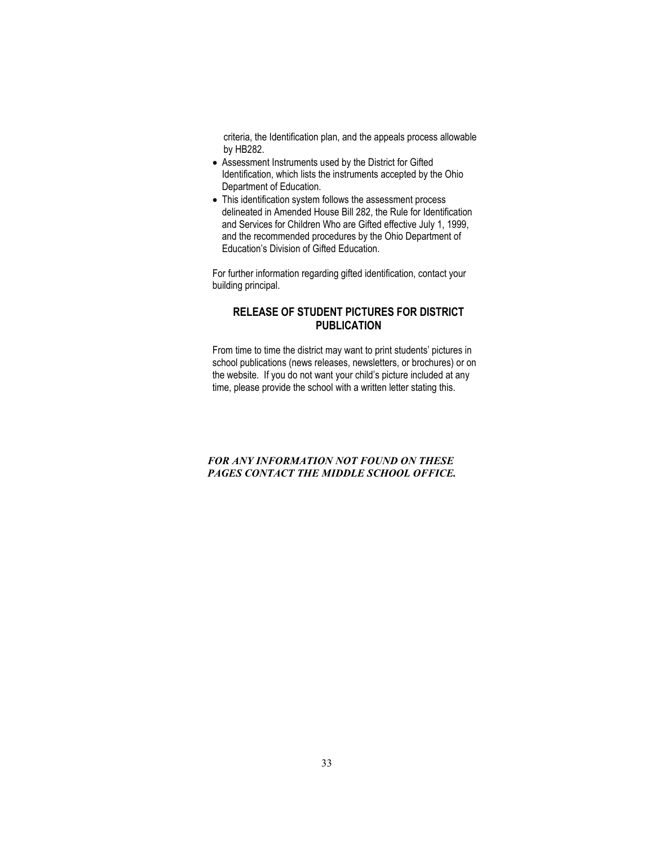criteria, the Identification plan, and the appeals process allowable by HB282.

- Assessment Instruments used by the District for Gifted Identification, which lists the instruments accepted by the Ohio Department of Education.
- This identification system follows the assessment process delineated in Amended House Bill 282, the Rule for Identification and Services for Children Who are Gifted effective July 1, 1999, and the recommended procedures by the Ohio Department of Education's Division of Gifted Education.

For further information regarding gifted identification, contact your building principal.

## <span id="page-32-0"></span>**RELEASE OF STUDENT PICTURES FOR DISTRICT PUBLICATION**

From time to time the district may want to print students' pictures in school publications (news releases, newsletters, or brochures) or on the website. If you do not want your child's picture included at any time, please provide the school with a written letter stating this.

## *FOR ANY INFORMATION NOT FOUND ON THESE PAGES CONTACT THE MIDDLE SCHOOL OFFICE.*